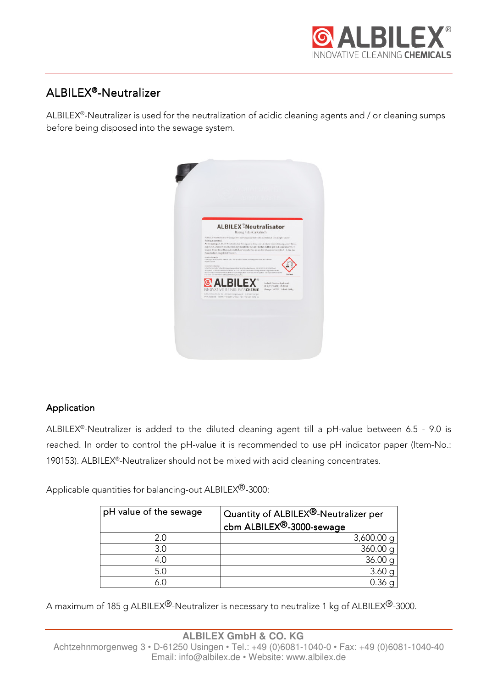

# ALBILEX®-Neutralizer

ALBILEX® -Neutralizer is used for the neutralization of acidic cleaning agents and / or cleaning sumps before being disposed into the sewage system.

|                                                                                                                                                                                                                                                                                                                                                                                                                                                                                                                                  | <b>ALBILEX<sup>®</sup>Neutralisator</b> |                                                                                    |
|----------------------------------------------------------------------------------------------------------------------------------------------------------------------------------------------------------------------------------------------------------------------------------------------------------------------------------------------------------------------------------------------------------------------------------------------------------------------------------------------------------------------------------|-----------------------------------------|------------------------------------------------------------------------------------|
| ALBILEX Neutralisator flussig dient zur Abwaserneutralisation nach Einsatz ph-saurer<br>Reinigungsmittel.<br>Anwendung: ALBLEX-Neutralisator-flüssig wird der zuneutralisierenden Lösung unverdünst.<br>zugesetzt. Dabei muß eine ständige Kontrolle des pH-Westes mittels pH-Indikatorstreifen er-<br>folgen. Unter Beachtung der örtlichen Vorschriften kann das Abwasser bei pH 6,5 - 9,0 in die<br>Kanalisation eingeleitet werden.                                                                                          | flüssig / stark alkalisch               |                                                                                    |
| Certatus artiferenza<br>Kontropyreid at Mittalian Banacia sein. "Weighteid is allware Decklowgen der Haul and schwere<br>Augustables.<br>Six by checkshie werker<br>Schutzbandschube/Schutzblokkag/Ausweichetz/Deusblockadz basen. (IBI/VIRTCR) BOATM Mend.<br>accupiling ADM (direction/torbolishies), BC HONDAY RECORD ARGIN Energy Member Ling behaviors will<br>Winter spilen Vorkantene Kortskillesen nach Niglie Meit ertfernen, Weiter spillen. - 001 (specifien oder fall:<br>lickuller, GITTAFOENSTEASZCREWAUJustanden. |                                         | Getalet                                                                            |
| <b>&amp; ALBILEX</b> "<br>INNOVATIVE REINIGUNGSCHEMIE<br>ALEILEX GribH & Co. 45 - Achtechninorgenweg 3 - D-6/250 Usingen<br>www.abloode - Tolefon: NES BDBT 104(3-2) - Fax: NB 6281 104(3-4)                                                                                                                                                                                                                                                                                                                                     |                                         | Enthalt Natriumhydrosid.<br>KL B/CS/ILADR, UN 1824<br>Charge: 160712 Inhalt: 10 kg |

#### Application

ALBILEX® -Neutralizer is added to the diluted cleaning agent till a pH-value between 6.5 - 9.0 is reached. In order to control the pH-value it is recommended to use pH indicator paper (Item-No.: 190153). ALBILEX<sup>®</sup>-Neutralizer should not be mixed with acid cleaning concentrates.

Applicable quantities for balancing-out ALBILEX<sup>®</sup>-3000:

| pH value of the sewage | Quantity of ALBILEX <sup>®</sup> -Neutralizer per<br>cbm ALBILEX <sup>®</sup> -3000-sewage |  |
|------------------------|--------------------------------------------------------------------------------------------|--|
| 2.0                    | $3,600.00 \text{ q}$                                                                       |  |
| 3.0                    | 360.00 q                                                                                   |  |
| 4.0                    | 36.00 q                                                                                    |  |
| 5.0                    | 3.60                                                                                       |  |
|                        |                                                                                            |  |

A maximum of 185 g ALBILEX<sup>®</sup>-Neutralizer is necessary to neutralize 1 kg of ALBILEX<sup>®</sup>-3000.